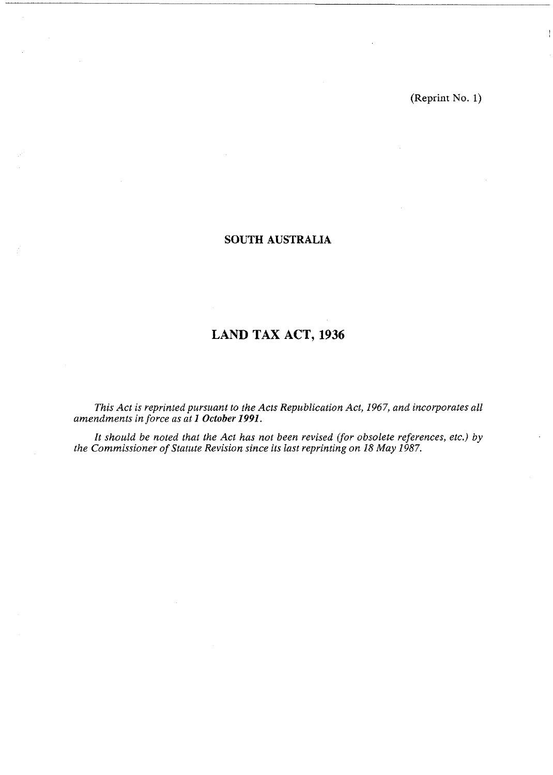**(Reprint** No. 1)

# **SOUTH AUSTRALIA**

# **LAND TAX ACT, 1936**

*This Act is reprinted pursuant to the Acts Republication Act, 1967, and incorporates all amendments in force as at I October 1991.* 

*It should be noted that the Act has not been revised (for obsolete references, etc.) by the Commissioner of Statute Revision since its last reprinting on 18 May 1987.*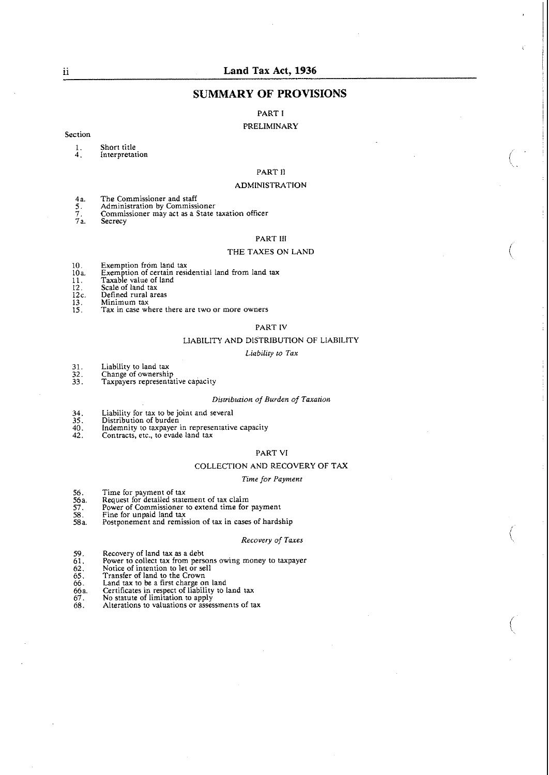## **<sup>11</sup>Land Tax Act. 1936**

# **SUMMARY OF PROVISIONS**

# PART I

## PRELIMINARY

#### Section

- 1. Short title<br>4. Interpretat
	- **Interpretation**

## PART 11

#### ADMlNlSTRATlON

- 
- 4a. The Commissioner and staff 5. Administration by Commissioner
- **7. Administration by Commissioner**<br>**7. Commissioner** may act as a State taxation officer<br>**7.** Secrecy
- Secrecy

## PART III

#### THE TAXES ON LAND

- **10.** Exemption from land tax
- LOa. Exemption of certain residential land from land tax 11. Taxable value of land
- 
- 12. Scale of land tax
- 
- 12c. Defined rural areas<br>13. Minimum tax<br>15. Tax in case where t
- Tax in case where there are two or more owners

#### PART IV

#### LIABILITY AND DISTRIBUTION OF LIABILITY

#### *Liability to Tax*

- 31. Liability to land tax<br>32. Change of ownershi<br>33. Taxpayers represent
- **32.** Change of ownership
- Taxpayers representative capacity

#### **Distribution of Burden of Taxation**

- 34. Liability for tax to be joint and several<br>35. Distribution of burden<br>40. Indemnity to taxpayer in representativ
- 
- 35. Distribution of burden 40. Indemnity to taxpayer in representative capacity
- 42. Contracts, etc., to evade land tax

#### PART VI

#### COLLECTION AND RECOVERY OF TAX

#### *Time for Paymenr*

- 
- 56. Time for payment of tax<br>56a. Request for detailed statement of <u>tax</u> claim
- 56. Time for payment of tax<br>
56a. Request for detailed statement of tax claim<br>
57. Power of Commissioner to extend time for payment<br>
58. Fine for unpaid land tax<br>
58a. Postponement and remission of tax in cases of hards
- 
- Postponement and remission of tax in cases of hardship

#### *Recovery of Taxes*

- 59. Recovery of land tax as a debt<br>61. Power to collect tax from pers
- **61.** Power to collect tax from persons owing money to taxpayer 62. Notice of intention to let or sell **65.** Transfer of land to the Crown
- Notice of intention to let or sell
- 
- 65. Transfer of land to the Crown<br>66. Land tax to be a first charge on land
- 
- **66a.** Certificates in respect of liability to land tax **1188**<br>57. No statute of limitation to apply
- 68. Alterations to valuations or assessments of tax

. .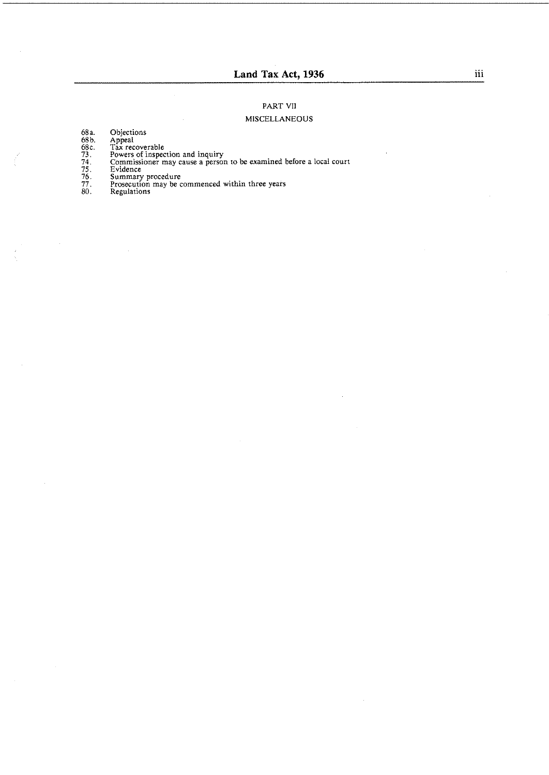## **PART VII**

#### **MISCELLANEOUS**

68a.<br>68b.<br>68c.<br>6745.<br>776.<br>777. **Obiections** 

**Summary procedure Prosecution may be commenced within three years Regulations**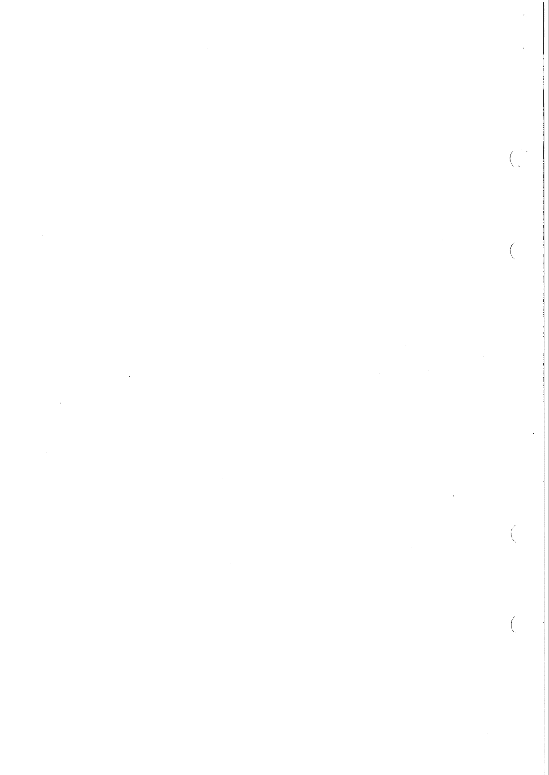$\label{eq:2.1} \frac{1}{\sqrt{2}}\left(\frac{1}{\sqrt{2}}\right)^{2} \left(\frac{1}{\sqrt{2}}\right)^{2} \left(\frac{1}{\sqrt{2}}\right)^{2} \left(\frac{1}{\sqrt{2}}\right)^{2} \left(\frac{1}{\sqrt{2}}\right)^{2} \left(\frac{1}{\sqrt{2}}\right)^{2} \left(\frac{1}{\sqrt{2}}\right)^{2} \left(\frac{1}{\sqrt{2}}\right)^{2} \left(\frac{1}{\sqrt{2}}\right)^{2} \left(\frac{1}{\sqrt{2}}\right)^{2} \left(\frac{1}{\sqrt{2}}\right)^{2} \left(\$ 

 $\mathcal{L}(\mathcal{A})$  and  $\mathcal{L}(\mathcal{A})$ 

 $\sim$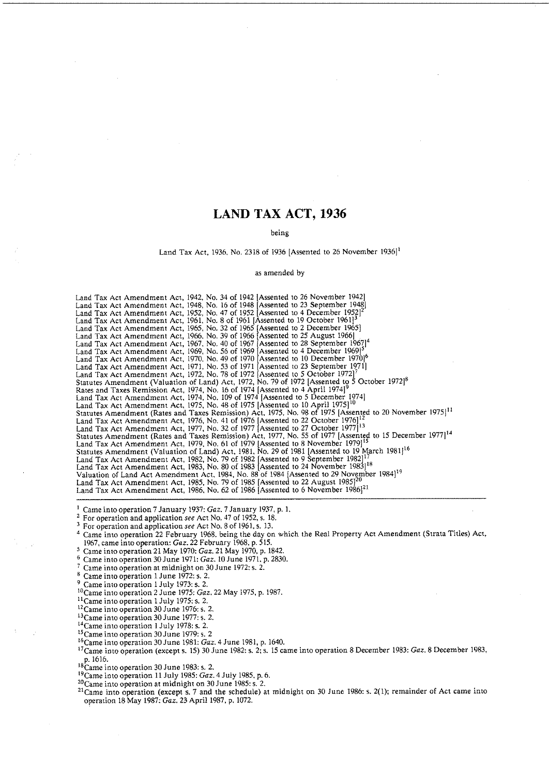# **LAND TAX ACT, 1936**

#### being

#### Land Tax Act, 1936, No. 2318 of 1936 [Assented to 26 November 1936]<sup>1</sup>

#### as amended by

Land Tax Act Amendment Act. 1942. No. 34 of 1942 [Assented to 26 November 19421 Land Tax Act Amendment Act. 1948. No. 16 of 1948 [Assented to 23 September 19481 Land Tax Act Amendment Act, 1952, No. 47 of 1952 [Assented to 4 December 1952] $^2$ Land Tax Act Amendment Act, 1961. No. 8 of 1961 [Assented to 19 October 1961] $^3$ Land Tax Act Amendment Act, 1965, No. 32 of 1965 [Assented to 2 December 19651 Land Tax Act Amendment Act, 1966. No. 39 of 1966 [Assented to 25 August 1966] Land Tax Act Amendment Act, 1967. No. 40 of 1967 [Assented to 28 September 19671" Land Tax Act Amendment Act, 1969, No. 56 of 1969 [Assented to 4 December 1969] $^{\circ}$ Land Tax Act Amendment Act. 1970. No. 49 of 1970 [Assented to 10 December 19701' Land Tax Act Amendment Act. 1971. No. 53 of 1971 [Assented to 23 September 19711 Land Tax Act Amendment Act, 1972. No. 78 of 1972 [Assented to 5 October 19721' Statutes Amendment (Valuation of Land) Act, 1972, No. 79 of 1972 [Assented to 5 October 1972]<sup>8</sup> Rates and Taxes Remission Act, 1974, No. 16 of 1974 [Assented to 4 April 1974]"<br>Land Tax Act Amendment Act, 1974, No. 109 of 1974 [Assented to 5 December 1974] Land Tax Act Amendment Act, 1975. No. 48 of 1975 [Assented to 10 April  $1975]$ <sup>10</sup> Statutes Amendment (Rates and Taxes Remission) Act. 1975. No. 98 of 1975 [Assented to 20 November 19751" Land Tax Act Amendment Act, 1976, No. 41 of 1976 [Assented to 22 October  $1976$ ] $^{12}$ Land Tax Act Amendment Act, 1977, No. 32 of 1977 [Assented to 27 October 1977]<sup>13</sup> Statutes Amendment (Rates and Taxes Remission) Act. 1977, No. 55 of 1977 [Assented to 15 December 1977]14 Land Tax Act Amendment Act, 1979, No. 61 of 1979 [Assented to 8 November 1979] $^{13}$ Statutes Amendment (Valuation of Land) Act. 1981. No. 29 of 1981 [Assented to 19 March 1981]<sup>16</sup> Land Tax Act Amendment Act, 1982, No. 79 of 1982 [Assented to 9 September 1982] $'$ : Land Tax Act Amendment Act. 1983. No. 80 of 1983 [Assented to 24 November 19831 Valuation of Land Act Amendment Act. 1984. No. 88 of 1984 [Assented to 29 November 1984]" Land Tax Act Amendment Act. 1985, No. 79 of 1985 [Assented to 22 August 1985]<sup>20</sup> Land Tax Act Amendment Act, 1986, No. 62 of 1986 [Assented to 6 November 1986] $^{\ell_{1}}$ 

<sup>1</sup> Came into operation 7 January 1937: *Gaz.* 7 January 1937, p. 1.<br><sup>2</sup> For operation and application see Act No. 47 of 1952, s. 18.

For operation and application see Act No. 8 of 1961, s. 13.<br>Came into operation 22 February 1968, being the day on which the Real Property Act Amendment (Strata Titles) Act, 1967, came into operation: Gaz. 22 February 1968, p. 515.

5 Came into operation 21 May 1970: Gaz. 21 May 1970, p. 1842.

Came intooperation 30 June 1971: Gaz. 10 June 1971. p. 2830.

Came into operation at midnight on 30 June 1972: s. 2.

Came into operation 1 June 1972: s. 2.

Came into operation 1 July 1973: s. 2.

<sup>10</sup>Came into operation 2 June 1975: *Gaz*. 22 May 1975, p. 1987.

<sup>11</sup>Came into operation 1 July 1975: s. 2.

<sup>12</sup>Came into operation 30 June 1976: s. 2.

 $13$ Came into operation 30 June 1977: s. 2.

<sup>14</sup> Came into operation 1 July 1978: s. 2.

<sup>15</sup> Came into operation 30 June 1979: s. 2

IbCame into operation 30 June 1981: Gaz. 4 June 1981. p. 1640.

I7Came into operation (excepts. 15) 30 June 1982: s. **2:** s. 15 came into operation 8 December 1983: Gaz. 8 December 1983, p. 1616.

 $^{18}$ Came into operation 30 June 1983: s. 2.

 $19$ Came into operation 11 July 1985: Gaz. 4 July 1985, p. 6.

<sup>20</sup> Came into operation at midnight on 30 June 1985: s. 2.

 $^{21}$ Came into operation (except s. 7 and the schedule) at midnight on 30 June 1986: s. 2(1); remainder of Act came into operation 18 May 1987: Gaz. 23 April 1987. p. 1072.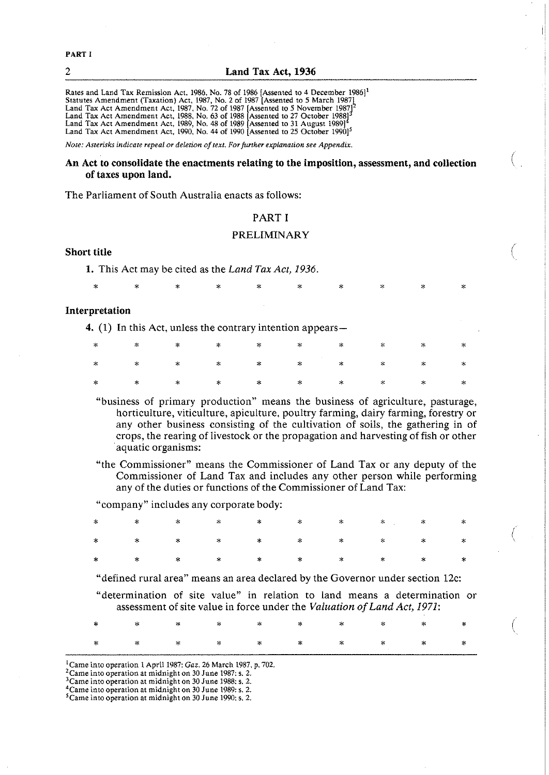#### 2 **Land Tax Act, 1936**

Rates and Land Tax Remission Act, 1986, No. 78 of 1986 [Assented to 4 December 1986]<sup>1</sup> Statutes Amendment (Taxation) Act, 1987, No. 2 of 1987 [Assented to 5 March 1987] Land Tax Act Amendment Act, 1987, No. 72 of 1987 [Assented to 5 November 1987] Land Tax Act Amendment Act, 1988, No. 63 of 1988 [Assented to 27 October 1988]<sup>3</sup><br>Land Tax Act Amendment Act, 1989, No. 48 of 1989 [Assented to 31 August 1989]<sup>3</sup> Land Tax Act Amendment Act, 1990, No. 44 of 1990 [Assented to 25 October 1990]<sup>5</sup>

Note: Asterisks indicate repeal or deletion of text. For further explanation see Appendix.

#### **An Act to consolidate the enactments relating to the imposition, assessment, and collection of taxes upon land.**

The Parliament of South Australia enacts as follows:

## PART I

#### PRELIMINARY

ź.

## **Short title**

**1.** This Act may be cited as the *Land Tax Act,* 1936.

# **Interpretation**

4. (1) In this Act, unless the contrary intention appears—

"business of primary production" means the business of agriculture, pasturage, horticulture, viticulture, apiculture, poultry farming, dairy farming, forestry or any other business consisting of the cultivation of soils, the gathering in of crops, the rearing of livestock or the propagation and harvesting of fish or other aquatic organisms:

"the Commissioner" means the Commissioner of Land Tax or any deputy of the Commissioner of Land Tax and includes any other person while performing any of the duties or functions of the Commissioner of Land Tax:

"company" includes any corporate body:

|  |  |  |  | $\begin{array}{ccccccccccc} * & * & * & * & * & * & * & * & * & * \end{array}$ |  |
|--|--|--|--|--------------------------------------------------------------------------------|--|

"defined rural area" means an area declared by the Governor under section 12c:

"determination of site value" in relation to land means a determination or assessment of site value in force under the *Valuation* of *Land Act,* 1971:

|  |  | $\begin{array}{ccccccccccccccccccccc} \ast & \times & \times & \times & \times & \times & \times & \times & \times & \times & \times \end{array}$ |  |  |
|--|--|---------------------------------------------------------------------------------------------------------------------------------------------------|--|--|
|  |  |                                                                                                                                                   |  |  |

<sup>&#</sup>x27;Came into operation 1 April 1987: **Gaz.** 26 March 1987. p. 702

3~ame into operation at midnight on 30 June 1988: **s.** 2.

<sup>&#</sup>x27;Came into operation at midnight on 30 June 1987: s. 2.

<sup>4</sup>Came into operation at midnight on 30 June 1989: s. 2.

<sup>&#</sup>x27;came into operation at midnight on 30 June 1990: **s.** 2.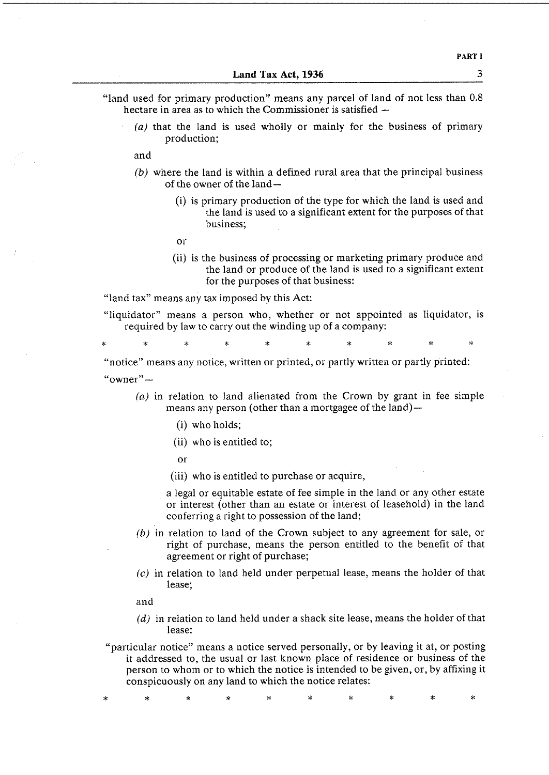**Land Tax Act, 1936 3** 

"land used for primary production" means any parcel of land of not less than 0.8 hectare in area as to which the Commissioner is satisfied  $-$ 

(a) that the land is used wholly or mainly for the business of primary production;

and

- *(b)* where the land is within a defined rural area that the principal business of the owner of the land-
	- (i) is primary production of the type for which the land is used and the land is used to a significant extent for the purposes of that business;
	- or
	- (ii) is the business of processing or marketing primary produce and the land or produce of the land is used to a significant extent for the purposes of that business:

"land tax" means any tax imposed by this Act:

"liquidator" means a person who, whether or not appointed as liquidator, is required by law to carry out the winding up of a company:

\* **L** \* **L** \* **L** \* **L** \* **<sup>L</sup>**

"notice" means any notice, written or printed, or partly written or partly printed: "owner" $-$ 

- (a) in relation to land alienated from the Crown by grant in fee simple means any person (other than a mortgagee of the land)-
	- (i) who holds;
	- (ii) who is entitled to;
	- or
	- (iii) who is entitled to purchase or acquire,

a legal or equitable estate of fee simple in the land or any other estate or interest (other than an estate or interest of leasehold) in the land conferring a right to possession of the land;

- *(b)* in relation to land of the Crown subject to any agreement for sale, or right of purchase, means the person entitled to the benefit of that agreement or right of purchase;
- **(c)** in relation to land held under perpetual lease, means the holder of that lease;
- and
- (d) in relation to land held under a shack site lease, means the holder of that lease:

"particular notice" means a notice served personally, or by leaving it at, or posting it addressed to, the usual or last known place of residence or business of the person to whom or to which the notice is intended to be given, or, by affixing it conspicuously on any land to which the notice relates: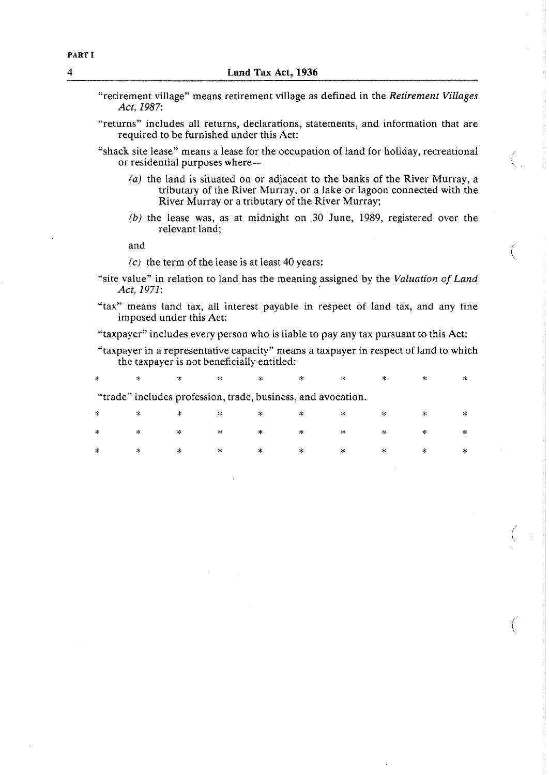- "retirement village" means retirement village as defined in the *Retirement Villages Act, 1987:*
- "returns" includes all returns, declarations, statements, and information that are required to be furnished under this Act:
- "shack site lease" means a lease for the occupation of land for holiday, recreational or residential purposes where-
	- *(a)* the land is situated on or adjacent to the banks of the River Murray, a tributary of the River Murray, or a lake or lagoon connected with the River Murray or a tributary of the River Murray;
	- **(b)** the lease was, as at midnight on 30 June, 1989, registered over the relevant land;

and

- *(c)* the term of the lease is at least 40 years:
- "site value" in relation to land has the meaning assigned by the *Valuation of Land Act, 1971:*
- "tax" means land tax, all interest payable in respect of land tax, and any fine imposed under this Act:

"taxpayer" includes every person who is liable to pay any tax pursuant to this Act:

"taxpayer in a representative capacity" means a taxpayer in respect of land to which the taxpayer is not beneficially entitled:

 $\ast$ ż  $\mathbf{x}$  $\ast$ ×  $\ast$ "trade" includes profession, trade, business, and avocation.

|  |  |  |  | * * * * * * * * * * * |  |
|--|--|--|--|-----------------------|--|
|  |  |  |  |                       |  |
|  |  |  |  |                       |  |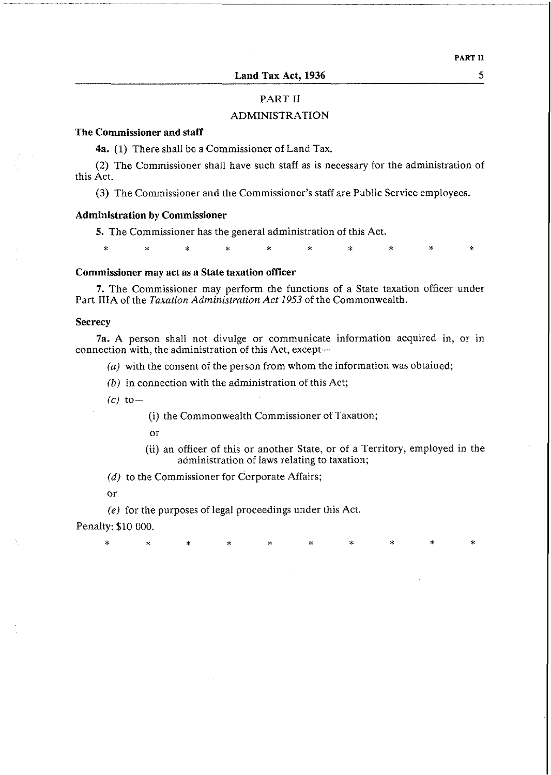# PART I1

## ADMINISTRATION

## **The Commissioner and staff**

**4a. (1)** There shall be a Commissioner of Land Tax.

(2) The Commissioner shall have such staff as is necessary for the administration of this Act.

**(3)** The Commissioner and the Commissioner's staff are Public Service employees.

### **Administration by Commissioner**

5. The Commissioner has the general administration of this Act.

ý. é.  $\ddot{\phantom{a}}$ s.

## **Commissioner may act as a State taxation officer**

**7.** The Commissioner may perform the functions of a State taxation officer under Part IIIA of the *Taxation Administration Act 1953* of the Commonwealth.

#### **Secrecy**

**7a.** A person shall not divulge or communicate information acquired in, or in connection with, the administration of this Act, except-

*(a)* with the consent of the person from whom the information was obtained;

(b) in connection with the administration of this Act;

 $(c)$  to  $-$ 

(i) the Commonwealth Commissioner of Taxation;

or

(ii) an officer of this or another State, or of a Territory, employed in the administration of laws relating to taxation;

\* \* \* \* \* \* \* \* \* \*

(d) to the Commissioner for Corporate Affairs;

or

*(e)* for the purposes of legal proceedings under this Act.

Penalty: \$10 000.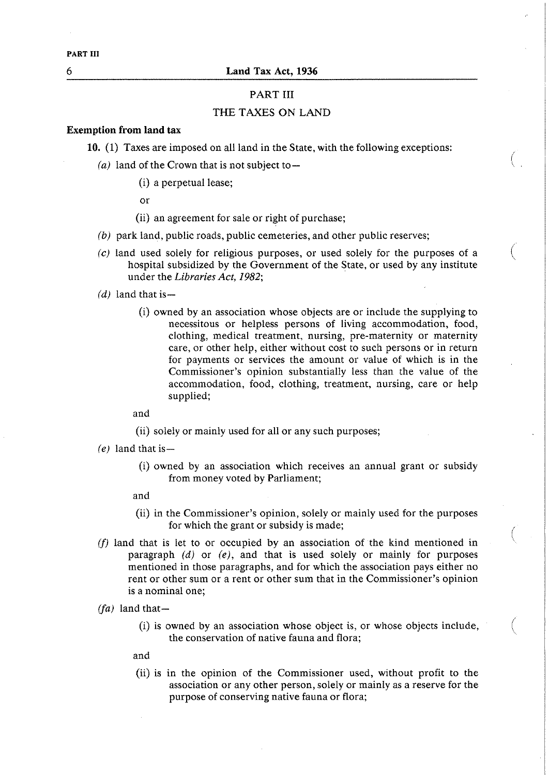## PART **111**

# THE TAXES ON LAND

## **Exemption from land tax**

**10.** (1) Taxes are imposed on all land in the State, with the following exceptions:

- (a) land of the Crown that is not subject to $-$ 
	- (i) a perpetual lease;
	- or
	- (ii) an agreement for sale or right of purchase;
- *(6)* park land, public roads, public cemeteries, and other public reserves;
- *(c)* land used solely for religious purposes, or used solely for the purposes of a hospital subsidized by the Government of the State, or used by any institute under the *Libraries Act,* 1982;
- $(d)$  land that is -
	- (i) owned by an association whose objects are or include the supplying to necessitous or helpless persons of living accommodation, food, clothing, medical treatment, nursing, pre-maternity or maternity care, or other help, either without cost to such persons or in return for payments or services the amount or value of which is in the Commissioner's opinion substantially less than the value of the accommodation, food, clothing, treatment, nursing, care or help supplied;

and

- (ii) solely or mainly used for all or any such purposes;
- $(e)$  land that is  $-$ 
	- (i) owned by an association which receives an annual grant or subsidy from money voted by Parliament;

and

- (ii) in the Commissioner's opinion, solely or mainly used for the purposes for which the grant or subsidy is made;
- (f) land that is let to or occupied by an association of the kind mentioned in paragraph *(d)* or *(e),* and that is used solely or mainly for purposes mentioned in those paragraphs, and for which the association pays either no rent or other sum or a rent or other sum that in the Commissioner's opinion is a nominal one;
- $(fa)$  land that-
	- (i) is owned by an association whose object is, or whose objects include, ( \ the conservation of native fauna and flora;

and

(ii) is in the opinion of the Commissioner used, without profit to the association or any other person, solely or mainly as a reserve for the purpose of conserving native fauna or flora;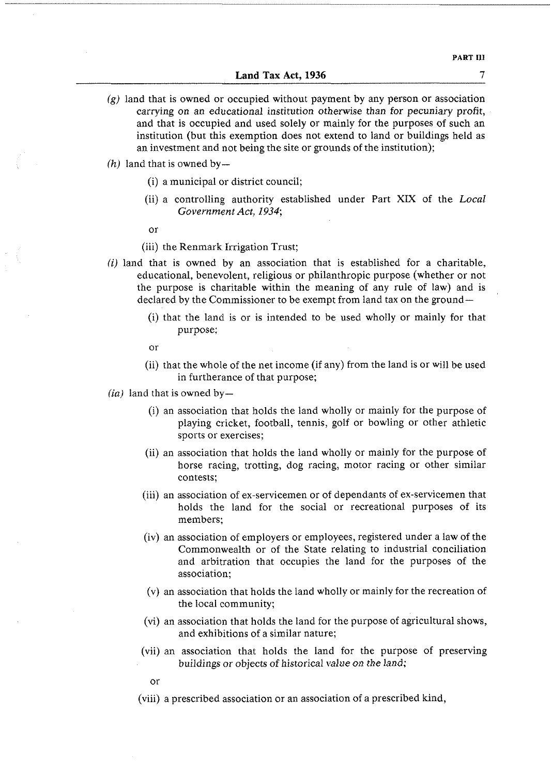**7** 

- (g) land that is owned or occupied without payment by any person or association carrying on an educational institution otherwise than for pecuniary profit, and that is occupied and used solely or mainly for the purposes of such an institution (but this exemption does not extend to land or buildings held as an investment and not being the site or grounds of the institution);
- $(h)$  land that is owned by-
	- (i) a municipal or district council;
	- (ii) a controlling authority established under Part XIX of the Local *Government Act,* 1934;
	- or
	- (iii) the Renmark Irrigation Trust;
- **(i)** land that is owned by an association that is established for a charitable, educational, benevolent, religious or philanthropic purpose (whether or not the purpose is charitable within the meaning of any rule of law) and is declared by the Commissioner to be exempt from land tax on the ground-
	- (i) that the land is or is intended to be used wholly or mainly for that purpose;
	- or
	- (ii) that the whole of the net income (if any) from the land is or will be used in furtherance of that purpose;
- $(ia)$  land that is owned by-
	- (i) an association that holds the land wholly or mainly for the purpose of playing cricket, football, tennis, golf or bowling or other athletic sports or exercises;
	- (ii) an association that holds the land wholly or mainly for the purpose of horse racing, trotting, dog racing, motor racing or other similar contests;
	- (iii) an association of ex-servicemen or of dependants of ex-servicemen that holds the land for the social or recreational purposes of its members;
	- (iv) an association of employers or employees, registered under a law of the Commonwealth or of the State relating to industrial conciliation and arbitration that occupies the land for the purposes of the association;
	- (v) an association that holds the iand wholly or mainly for the recreation of the local community;
	- (vi) an association that holds the land for the purpose of agricultural shows, and exhibitions of a similar nature;
	- (vii) an association that holds the land for the purpose of preserving buildings or objects of historical value on the land;
		- or
	- (viii) a prescribed association or an association of a prescribed kind,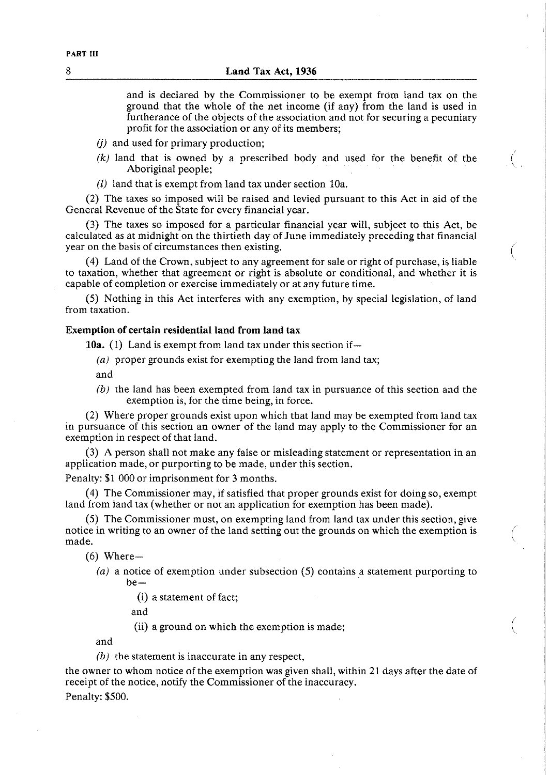#### 8 **Land Tax Act, 1936**

and is declared by the Commissioner to be exempt from land tax on the ground that the whole of the net income (if any) from the land is used in furtherance of the objects of the association and not for securing a pecuniary profit for the association or any of its members;

- $(i)$  and used for primary production;
- *(k)* land that is owned by a prescribed body and used for the benefit of the Aboriginal people;
- (1) land that is exempt from land tax under section 10a.

(2) The taxes so imposed will be raised and levied pursuant to this Act in aid of the General Revenue of the State for every financial year.

(3) The taxes so imposed for a particular financial year will, subject to this Act, be calculated as at midnight on the thirtieth day of June immediately preceding that financial year on the basis of circumstances then existing.

(4) Land of the Crown, subject to any agreement for sale or right of purchase, is liable to taxation, whether that agreement or right is absolute or conditional, and whether it is capable of completion or exercise immediately or at any future time.

(5) Nothing in this Act interferes with any exemption, by special legislation, of land from taxation.

## **Exemption of certain residential land from land tax**

**10a.** (1) Land is exempt from land tax under this section if-

*(a)* proper grounds exist for exempting the land from land tax;

and

*Ib)* the land has been exempted from land tax in pursuance of this section and the exemption is, for the time being, in force.

(2) Where proper grounds exist upon which that land may be exempted from land tax in pursuance of this section an owner of the land may apply to the Commissioner for an exemption in respect of that land.

(3) A person shall not make any false or misleading statement or representation in an application made, or purporting to be made, under this section.

Penalty: \$1 000 or imprisonment for 3 months.

(4) The Commissioner may, if satisfied that proper grounds exist for doing so, exempt land from land tax (whether or not an application for exemption has been made).

(5) The Commissioner must, on exempting land from land tax under this section, give notice in writing to an owner of the land setting out the grounds on which the exemption is made.

 $(6)$  Where-

(a) a notice of exemption under subsection (5) contains a statement purporting to be-

(i) a statement of fact;

and

(ii) a ground on which the exemption is made;

and

(b) the statement is inaccurate in any respect,

the owner to whom notice of the exemption was given shall, within 21 days after the date of receipt of the notice, notify the Commissioner of the inaccuracy.

Penalty: \$500.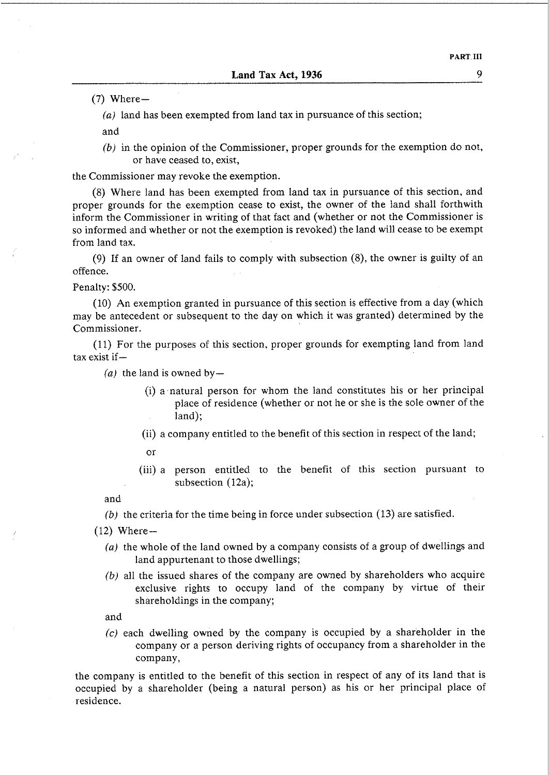$(7)$  Where-

*(a)* land has been exempted from land tax in pursuance of this section;

and

*(b)* in the opinion of the Commissioner, proper grounds for the exemption do not, or have ceased to, exist,

the Commissioner may revoke the exemption.

(8) Where land has been exempted from land tax in pursuance of this section, and proper grounds for the exemption cease to exist, the owner of the land shall forthwith inform the Commissioner in writing of that fact and (whether or not the Commissioner is so informed and whether or not the exemption is revoked) the land will cease to be exempt from land tax.

(9) If an owner of land fails to comply with subsection (8), the owner is guilty of an offence.

Penalty: \$500.

(10) An exemption granted in pursuance of this section is effective from a day (which may be antecedent or subsequent to the day on which it was granted) determined by the Commissioner.

(11) For the purposes of this section, proper grounds for exempting land from land tax exist if-

 $(a)$  the land is owned by-

- (i) a natural person for whom the land constitutes his or her principal place of residence (whether or not he or she is the sole owner of the land);
- (ii) a company entitled to the benefit of this section in respect of the land;
- or
- (iii) a person entitled to the benefit of this section pursuant to subsection (12a);
- and

*(b)* the criteria for the time being in force under subsection (13) are satisfied.

- $(12)$  Where-
	- *(a)* the whole of the land owned by a company consists of a group of dwellings and land appurtenant to those dwellings;
	- *(b)* all the issued shares of the company are owned by shareholders who acquire exclusive rights to occupy land of the company by virtue of their shareholdings in the company;

and

**(c)** each dwelling owned by the company is occupied by a shareholder in the company or a person deriving rights of occupancy from a shareholder in the company,

the company is entitled to the benefit of this section in respect of any of its land that is occupied by a shareholder (being a natural person) as his or her principal place of residence.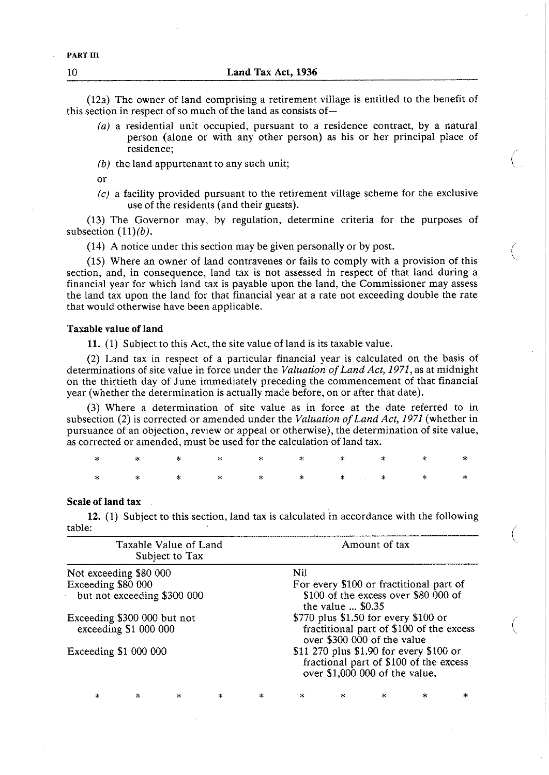(12a) The owner of land comprising a retirement village is entitled to the benefit of this section in respect of so much of the land as consists of-

- (a) a residential unit occupied, pursuant to a residence contract, by a natural person (alone or with any other person) as his or her principal place of residence;
- $(b)$  the land appurtenant to any such unit;

or

(c) a facility provided pursuant to the retirement village scheme for the exclusive use of the residents (and their guests).

(13) The Governor may, by regulation, determine criteria for the purposes of subsection  $(11)(b)$ .

(14) A notice under this section may be given personally or by post.

(15) Where an owner of land contravenes or fails to comply with a provision of this i section, and, in consequence, land tax is not assessed in respect of that land during a financial year for which land tax is payable upon the land, the Commissioner may assess the land tax upon the land for that financial year at a rate not exceeding double the rate that would otherwise have been applicable.

#### Taxable value **of land**

11. (1) Subject to this Act, the site value of land is its taxable value.

(2) Land tax in respect of a particular financial year is calculated on the basis of determinations of site value in force under the Valuation of Land *Act,* 1971, as at midnight on the thirtieth day of June immediately preceding the commencement of that financial year (whether the determination is actually made before, on or after that date).

(3) Where a determination of site value as in force at the date referred to in subsection (2) is corrected or amended under the Valuation of Land Act, 1971 (whether in pursuance of an objection, review or appeal or otherwise), the determination of site value, as corrected or amended, must be used for the calculation of land tax.

## Scale **of** land tax

**12.** (1) Subject to this section, land tax is calculated in accordance with the following table:

| ιαυισ.                      |                       |                                         |        |           |                                                                                                                 |        |                                |                                                                                   |        |  |  |  |
|-----------------------------|-----------------------|-----------------------------------------|--------|-----------|-----------------------------------------------------------------------------------------------------------------|--------|--------------------------------|-----------------------------------------------------------------------------------|--------|--|--|--|
|                             |                       | Taxable Value of Land<br>Subject to Tax |        |           |                                                                                                                 |        | Amount of tax                  |                                                                                   |        |  |  |  |
| Not exceeding \$80 000      |                       |                                         |        |           | Nil                                                                                                             |        |                                |                                                                                   |        |  |  |  |
| Exceeding \$80 000          |                       | but not exceeding \$300 000             |        |           | For every \$100 or fractitional part of<br>\$100 of the excess over \$80 000 of<br>the value $\ldots$ \$0.35    |        |                                |                                                                                   |        |  |  |  |
| Exceeding \$300 000 but not | exceeding \$1 000 000 |                                         |        |           | \$770 plus \$1.50 for every \$100 or<br>fractitional part of \$100 of the excess<br>over \$300 000 of the value |        |                                |                                                                                   |        |  |  |  |
| Exceeding \$1 000 000       |                       |                                         |        |           |                                                                                                                 |        | over \$1,000 000 of the value. | \$11 270 plus \$1.90 for every \$100 or<br>fractional part of \$100 of the excess |        |  |  |  |
| 冰                           | $^{\star}$            | $\rtimes$                               | $\ast$ | $\approx$ | $\ast$                                                                                                          | $\ast$ | $\ast$                         | $\ast$                                                                            | $\ast$ |  |  |  |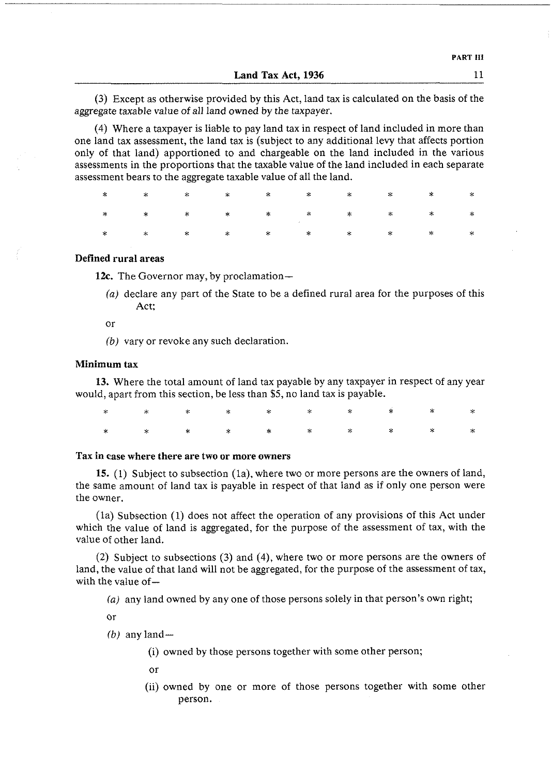**(3)** Except as otherwise provided by this Act, land tax is calculated on the basis of the aggregate taxable value of all land owned by the taxpayer.

(4) Where a taxpayer is liable to pay land tax in respect of land included in more than one land tax assessment, the land tax is (subject to any additional levy that affects portion only of that land) apportioned to and chargeable on the land included in the various assessments in the proportions that the taxable value of the land included in each separate assessment bears to the aggregate taxable value of all the land.

## **Defined rural areas**

**12c.** The Governor may, by proclamation—

(a) declare any part of the State to be a defined rural area for the purposes of this Act;

or

*(b)* vary or revoke any such declaration.

#### **Minimum tax**

**13.** Where the total amount of land tax payable by any taxpayer in respect of any year would, apart from this section, be less than \$5, no land tax is payable.

#### **Tax in case where there are two or more owners**

15. (1) Subject to subsection (la), where two or more persons are the owners of land, the same amount of land tax is payable in respect of that land as if only one person were the owner.

(la) Subsection (1) does not affect the operation of any provisions of this Act under which the value of land is aggregated, for the purpose of the assessment of tax, with the value of other land.

(2) Subject to subsections **(3)** and (4), where two or more persons are the owners of land, the value of that land will not be aggregated, for the purpose of the assessment of tax, with the value of-

(a) any land owned by any one of those persons solely in that person's own right;

or

 $(b)$  any land-

(i) owned by those persons together with some other person;

- or
- (ii) owned by one or more of those persons together with some other person.

11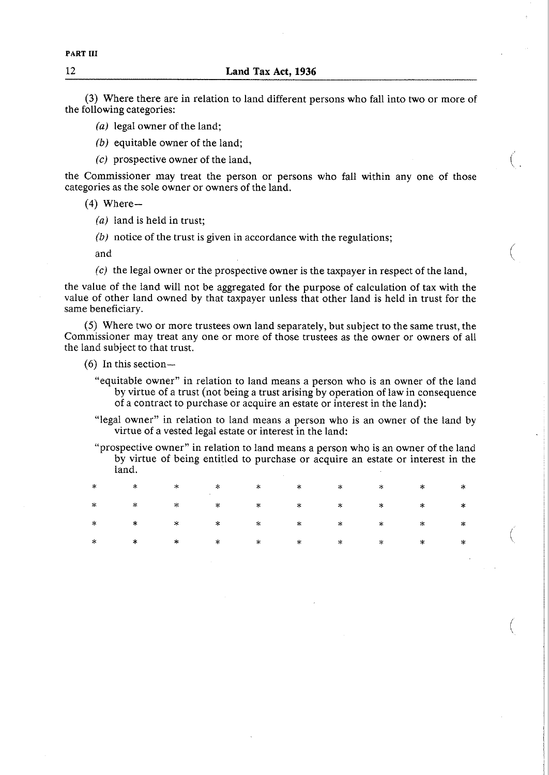**(3)** Where there are in relation to land different persons who fall into two or more of the following categories:

- (a) legal owner of the land;
- (b) equitable owner of the land;
- (c) prospective owner of the land,

the Commissioner may treat the person or persons who fall within any one of those categories as the sole owner or owners of the land.

- $(4)$  Where-
	- (a) land is held in trust;
	- *(b)* notice of the trust is given in accordance with the regulations;

and

(c) the legal owner or the prospective owner is the taxpayer in respect of the land,

the value of the land will not be aggregated for the purpose of calculation of tax with the value of other land owned by that taxpayer unless that other land is held in trust for the same beneficiary.

(5) Where two or more trustees own land separately, but subject to the same trust, the Commissioner may treat any one or more of those trustees as the owner or owners of all the land subject to that trust.

- $(6)$  In this section-
	- "equitable owner" in relation to land means a person who is an owner of the land by virtue of a trust (not being a trust arising by operation of law in consequence of a contract to purchase or acquire an estate or interest in the land):
	- "legal owner" in relation to land means a person who is an owner of the land by virtue of a vested legal estate or interest in the land:
	- "prospective owner" in relation to land means a person who is an owner of the land by virtue of being entitled to purchase or acquire an estate or interest in the land.

|  |  |  |  | $\begin{array}{ccccccccccccccccccccccccc} \ast & \times & \times & \times & \times & \times & \times & \times & \times & \times & \times & \times \end{array}$ |  |
|--|--|--|--|----------------------------------------------------------------------------------------------------------------------------------------------------------------|--|
|  |  |  |  |                                                                                                                                                                |  |
|  |  |  |  |                                                                                                                                                                |  |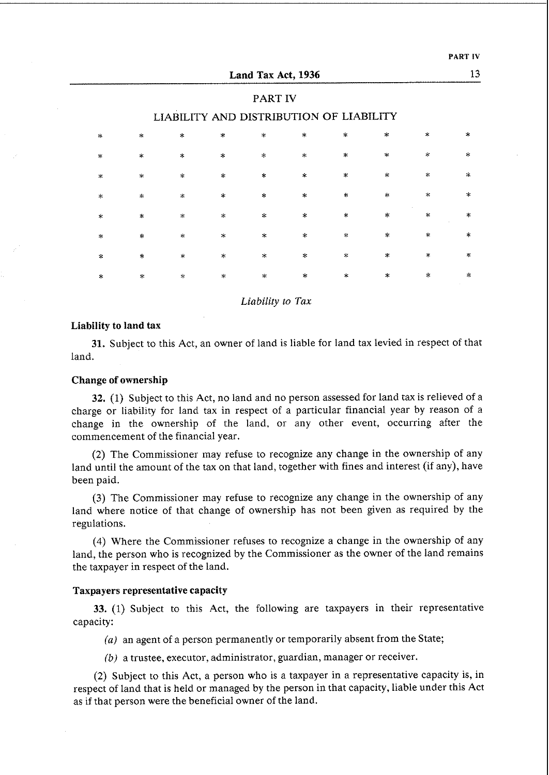|                       |               |               |         |                    |               |                                         |                |                       | <b>PART IV</b> |  |
|-----------------------|---------------|---------------|---------|--------------------|---------------|-----------------------------------------|----------------|-----------------------|----------------|--|
|                       |               |               |         | Land Tax Act, 1936 |               |                                         |                | 13                    |                |  |
|                       |               |               |         | <b>PART IV</b>     |               |                                         |                |                       |                |  |
|                       |               |               |         |                    |               | LIABILITY AND DISTRIBUTION OF LIABILITY |                |                       |                |  |
| $\star$               | $\ast$        | $\ast$        | $\star$ | $\ast$             | $\star$       | $\star$                                 | $\ast$         | $\star$               | $\ddot{\ast}$  |  |
| $\approx$             | $\star$       | $\ast$        | $\star$ | $\,\times\,$       | $\mathcal{H}$ | $\star$                                 | $\mathbf{x}$   | $\star$               | $\ast$         |  |
| $\ast$                | $\star$       | $\mathbf{x}$  | $\ast$  | $\ast$             | $\star$       | $\ast$                                  | $\frac{1}{2}$  | $\ast$                | $\ddot{\ast}$  |  |
| $\!\times\!$          | $\mathcal{H}$ | $\star$       | $\star$ | $\star$            | $\star$       | $\mathcal{H}$                           | $\propto$      | $\mathbb{X}$          | $\ast$         |  |
| $\ast$                | $\ast$        | $\mathbf{x}$  | $\ast$  | $\star$            | $\ast$        | $\mathcal{R}$                           | $\star$        | $\sim$                | $\ast$         |  |
| $\boldsymbol{\times}$ | $\ast$        | $\approx$     | $\ast$  | $\ast$             | $\ast$        | $\mathbf{x}$                            | $\mathbf{x}$   | $\ast$                | *              |  |
| $\approx$             | $\star$       | $\star$       | $\ast$  | $\ast$             | $\star$       | $\propto$                               | $\pmb{\times}$ | $\boldsymbol{\times}$ | $\mathcal{H}$  |  |
| $\ast$                | $\mathcal{L}$ | $\mathcal{R}$ | $\pm$   | $\star$            | $\ast$        | $\star$                                 | $\star$        | $\star$               | $\star$        |  |
|                       |               |               |         |                    |               |                                         |                |                       |                |  |

#### *Liability to Tax*

## **Liability to land tax**

**31.** Subject to this Act, an owner of land is liable for land tax levied in respect of that land.

#### **Change of ownership**

**32.** (1) Subject to this Act, no land and no person assessed for land tax is relieved of a charge or liability for land tax in respect of a particular financial year by reason of a change in the ownership of the land, or any other event, occurring after the commencement of the financial year.

(2) The Commissioner may refuse to recognize any change in the ownership of any land until the amount of the tax on that land, together with fines and interest (if any), have been paid.

(3) The Commissioner may refuse to recognize any change in the ownership of any land where notice of that change of ownership has not been given as required by the regulations.

(4) Where the Commissioner refuses to recognize a change in the ownership of any land, the person who is recognized by the Commissioner as the owner of the land remains the taxpayer in respect of the land.

# **Taxpayers representative capacity**

**33.** (1) Subject to this Act, the following are taxpayers in their representative capacity:

*(a)* an agent of a person permanently or temporarily absent from the State;

*(b)* a trustee, executor, administrator, guardian, manager or receiver.

(2) Subject to this Act, a person who is a taxpayer in a representative capacity is, in respect of land that is held or managed by the person in that capacity, liable under this Act as if that person were the beneficial owner of the land.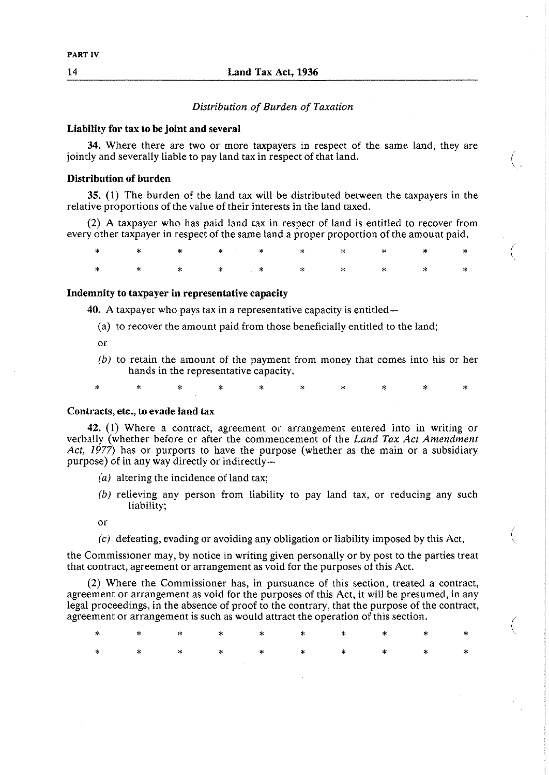#### **14 Land Tax Act, 1936**

## *Distribution of Burden of Taxation*

#### **Liability for tax to be joint and several**

34. Where there are two or more taxpayers in respect of the same land, they are jointly and severally liable to pay land tax in respect of that land.

### **Distribution of burden**

35. (1) The burden of the land tax will be distributed between the taxpayers in the relative proportions of the value of their interests in the land taxed.

(2) A taxpayer who has paid land tax in respect of land is entitled to recover from every other taxpayer in respect of the same land a proper proportion of the amount paid.

\* \* \* \* \* \* \* \* \* **<sup>X</sup>**  $\ast$ 

## **Indemnity to taxpayer in representative capacity**

**40.** A taxpayer who pays tax in a representative capacity is entitled-

(a) to recover the amount paid from those beneficially entitled to the land;

or

*(b)* to retain the amount of the payment from money that comes into his or her hands in the representative capacity.

j. ر.<br>مو

#### **Contracts, etc., to evade land tax**

**42.** (1) Where a contract, agreement or arrangement entered into in writing or verbally (whether before or after the commencement of the *Land Tax Act Amendment Act, 1977)* has or purports to have the purpose (whether as the main or a subsidiary purpose) of in any way directly or indirectly-

- *(a)* altering the incidence of land tax;
- *(b)* relieving any person from liability to pay land tax, or reducing any such liability;

or

*(c)* defeating, evading or avoiding any obligation or liability imposed by this Act, (

the Commissioner may, by notice in writing given personally or by post to the parties treat that contract, agreement or arrangement as void for the purposes of this Act.

(2) Where the Commissioner has, in pursuance of this section, treated a contract, agreement or arrangement as void for the purposes of this Act, it will be presumed, in any legal proceedings, in the absence of proof to the contrary, that the purpose of the contract, agreement or arrangement is such as would attract the operation of this section.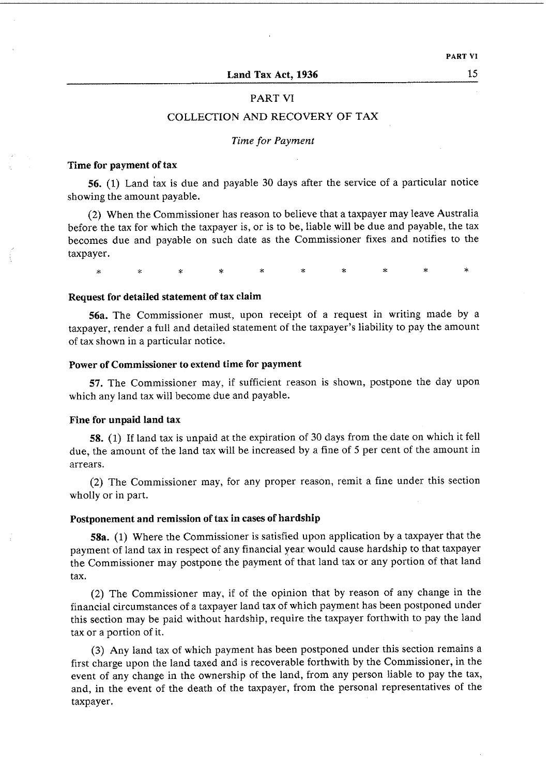## PART VI

# COLLECTION AND RECOVERY OF TAX

#### *Time* for *Payment*

#### **Time for payment of tax**

**56. (1)** Land tax is due and payable 30 days after the service of a particular notice showing the amount payable.

(2) When the Commissioner has reason to believe that a taxpayer may leave Australia before the tax for which the taxpayer is, or is to be, liable will be due and payable, the tax becomes due and payable on such date as the Commissioner fixes and notifies to the taxpayer.

 $\dot{\mathbf{x}}$ 

#### **Request for detailed statement of tax claim**

**56a.** The Commissioner must, upon receipt of a request in writing made by a taxpayer, render a fuil and detailed statement of the taxpayer's liability to pay the amount of tax shown in a particular notice.

#### **Power of Commissioner to extend time for payment**

**57.** The Commissioner may, if sufficient reason is shown, postpone the day upon which any land tax will become due and payable.

### **Fine for unpaid land tax**

**58. (1)** If land tax is unpaid at the expiration of 30 days from the date on which it fell due, the amount of the land tax will be increased by a fine of 5 per cent of the amount in arrears.

(2) The Commissioner may, for any proper reason, remit a fine under this section wholly or in part.

#### **Postponement and remission of tax in cases of hardship**

**58a.** (1) Where the Commissioner is satisfied upon application by a taxpayer that the payment of land tax in respect of any financial year would cause hardship to that taxpayer the Commissioner may postpone the payment of that land tax or any portion of that land tax.

(2) The Commissioner may, if of the opinion that by reason of any change in the financial circumstances of a taxpayer land tax of which payment has been postponed under this section may be paid without hardship, require the taxpayer forthwith to pay the land tax or a portion of it.

(3) Any land tax of which payment has been postponed under this section remains a first charge upon the land taxed and is recoverable forthwith by the Commissioner, in the event of any change in the ownership of the land, from any person liable to pay the tax, and, in the event of the death of the taxpayer, from the personal representatives of the taxpayer.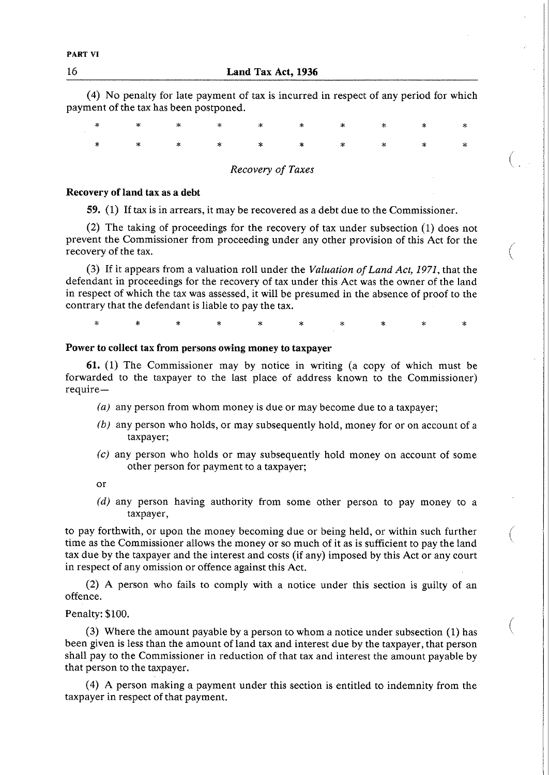(4) No penalty for late payment of tax is incurred in respect of any period for which payment of the tax has been postponed.

 $\ast$  $\ast$ 

# **Recovery of Taxes**

## **Recovery of land tax as a debt**

**59.** (1) If tax is in arrears, it may be recovered as a debt due to the Commissioner.

(2) The taking of proceedings for the recovery of tax under subsection (1) does not prevent the Commissioner from proceeding under any other provision of this Act for the recovery of the tax.

(3) If it appears from a valuation roll under the *Valuation of Land Act, 1971,* that the defendant in proceedings for the recovery of tax under this Act was the owner of the land in respect of which the tax was assessed, it will be presumed in the absence of proof to the contrary that the defendant is liable to pay the tax.

### **Power to collect tax from persons owing money to taxpayer**

61. (1) The Commissioner may by notice in writing (a copy of which must be forwarded to the taxpayer to the last place of address known to the Commissioner) require-

- (a) any person from whom money is due or may become due to a taxpayer;
- *(b)* any person who holds, or may subsequently hold, money for or on account of a taxpayer;
- *(c)* any person who holds or may subsequently hold money on account of some other person for payment to a taxpayer;

or

i.

(d) any person having authority from some other person to pay money to a taxpayer,

to pay forthwith, or upon the money becoming due or being held, or within such further time as the Commissioner allows the money or so much of it as is sufficient to pay the land tax due by the taxpayer and the interest and costs (if any) imposed by this Act or any court in respect of any omission or offence against this Act.

(2) A person who fails to comply with a notice under this section is guilty of an offence.

Penalty: \$100.

(3) Where the amount payable by a person to whom a notice under subsection (1) has been given is less than the amount of land tax and interest due by the taxpayer, that person shall pay to the Commissioner in reduction of that tax and interest the amount payable by that person to the taxpayer.

(4) A person making a payment under this section is entitled to indemnity from the taxpayer in respect of that payment.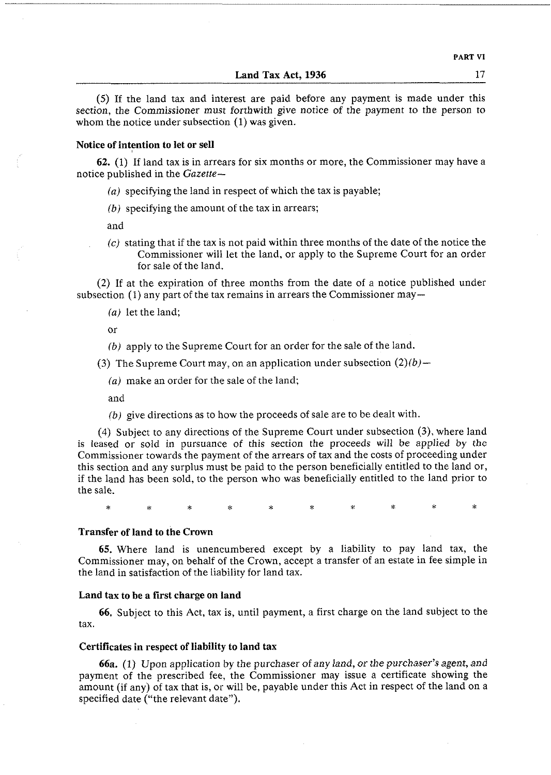(5) If the land tax and interest are paid before any payment is made under this section, the Commissioner must forthwith give notice of the payment to the person to whom the notice under subsection (1) was given.

#### **Notice of intention to** let **or sell**

**62. (1)** If land tax is in arrears for six months or more, the Commissioner may have a notice published in the Gazette-

(a) specifying the land in respect of which the tax is payable;

(b) specifying the amount of the tax in arrears;

and

**(c)** stating that if the tax is not paid within three months of the date of the notice the Commissioner will let the land, or apply to the Supreme Court for an order for sale of the land.

(2) If at the expiration of three months from the date of a notice published under subsection  $(1)$  any part of the tax remains in arrears the Commissioner may—

(a) let the land;

or

(b) apply to the Supreme Court for an order for the sale of the land.

(3) The Supreme Court may, on an application under subsection  $(2)(b)$  –

(a) make an order for the sale of the land;

and

(b) give directions as to how the proceeds of sale are to be dealt with.

(4) Subject to any directions of the Supreme Court under subsection **(3),** where land is leased or sold in pursuance of this section the proceeds will be applied by the Commissioner towards the payment of the arrears of tax and the costs of proceeding under this section and any surplus must be paid to the person beneficially entitled to the land or, if the land has been sold, to the person who was beneficially entitled to the land prior to the sale.

sk.

## **Transfer of land to the Crown**

**65.** Where land is unencumbered except by a liability to pay land tax, the Commissioner may, on behalf of the Crown, accept a transfer of an estate in fee simple in the land in satisfaction of the liability for land tax.

### **Land tax to be a first charge on land**

*66.* Subject to this Act, tax is, until payment, a first charge on the land subject to the tax.

## **Certificates in respect of liability to land tax**

**66a.** (1) Upon application by the purchaser of any land, or the purchaser's agent, and payment of the prescribed fee, the Commissioner may issue a certificate showing the amount (if any) of tax that is, or will be, payable under this Act in respect of the land on a specified date ("the relevant date").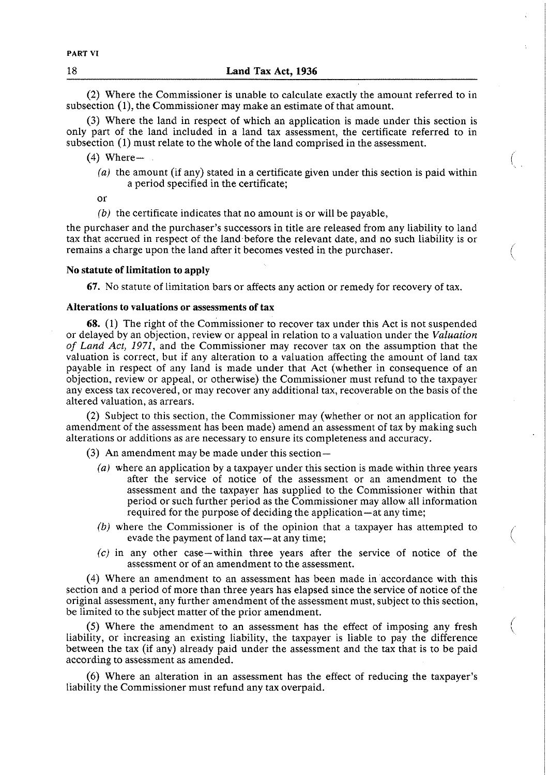**(2)** Where the Commissioner is unable to calculate exactly the amount referred to in subsection (I), the Commissioner may make an estimate of that amount.

(3) Where the land in respect of which an application is made under this section is only part of the land included in a land tax assessment, the certificate referred to in subsection (1) must relate to the whole of the land comprised in the assessment.

 $(4)$  Where-

*(a)* the amount (if any) stated in a certificate given under this section is paid within a period specified in the certificate;

or

*(b)* the certificate indicates that no amount is or will be payable,

the purchaser and the purchaser's successors in title are released from any liability to land tax that accrued in respect of the land before the relevant date, and no such liability is or remains a charge upon the land after it becomes vested in the purchaser.

#### **No statute of limitation to apply**

67. No statute of limitation bars or affects any action or remedy for recovery of tax.

## **Alterations to valuations or assessments of tax**

68. (1) The right of the Commissioner to recover tax under this Act is not suspended or delayed by an objection, review or appeal in relation to a valuation under the *Valuation of Land Act, 1971,* and the Commissioner may recover tax on the assumption that the valuation is correct, but if any alteration to a valuation affecting the amount of land tax payable in respect of any land is made under that Act (whether in consequence of an objection, review or appeal, or otherwise) the Commissioner must refund to the taxpayer any excess tax recovered, or may recover any additional tax, recoverable on the basis of the altered valuation, as arrears.

(2) Subject to this section, the Commissioner may (whether or not an application for amendment of the assessment has been made) amend an assessment of tax by making such alterations or additions as are necessary to ensure its completeness and accuracy.

(3) An amendment may be made under this section-

- *(a)* where an application by a taxpayer under this section is made within three years after the service of notice of the assessment or an amendment to the assessment and the taxpayer has supplied to the Commissioner within that period or such further period as the Commissioner may allow all information required for the purpose of deciding the application-at any time;
- *(b)* where the Commissioner is of the opinion that a taxpayer has attempted to evade the payment of land tax-at any time;
- *(c)* in any other case-within three years after the service of notice of the assessment or of an amendment to the assessment.

(4) Where an amendment to an assessment has been made in accordance with this section and a period of more than three years has elapsed since the service of notice of the original assessment, any further amendment of the assessment must, subject to this section, be limited to the subject matter of the prior amendment.

(5) Where the amendment to an assessment has the effect of imposing any fresh liability, or increasing an existing liability, the taxpayer is liable to pay the difference between the tax (if any) already paid under the assessment and the tax that is to be paid according to assessment as amended.

(6) Where an alteration in an assessment has the effect of reducing the taxpayer's liability the Commissioner must refund any tax overpaid.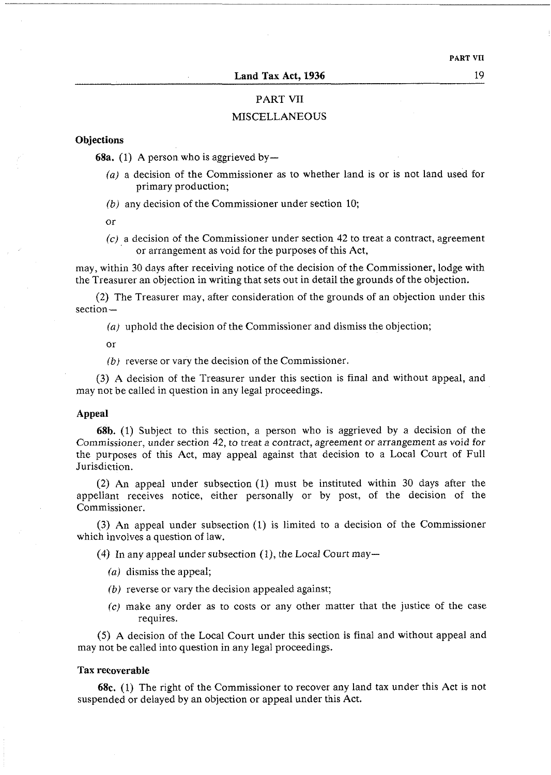#### **Land Tax Act. 1936**

# PART VII

# MISCELLANEOUS

## **Objections**

**68a.** (1) A person who is aggrieved by-

- *(a)* a decision of the Commissioner as to whether land is or is not land used for primary production;
- *(b)* any decision of the Commissioner under section 10;

or

 $(c)$  a decision of the Commissioner under section 42 to treat a contract, agreement or arrangement as void for the purposes of this Act,

may, within 30 days after receiving notice of the decision of the Commissioner, lodge with the Treasurer an objection in writing that sets out in detail the grounds of the objection.

(2) The Treasurer may, after consideration of the grounds of an objection under this section-

*(a)* uphold the decision of the Commissioner and dismiss the objection;

#### or

*(b)* reverse or vary the decision of the Commissioner.

(3) A decision of the Treasurer under this section is final and without appeal, and may not be called in question in any legal proceedings.

#### **Appeal**

**68b.** (1) Subject to this section, a person who is aggrieved by a decision of the Commissioner, under section 42, to treat a contract, agreement or arrangement as void for the purposes of this Act, may appeal against that decision to a Local Court of Full Jurisdiction.

(2) An appeal under subsection (1) must be instituted within 30 days after the appellant receives notice, either personally or by post, of the decision of the Commissioner.

(3) An appeal under subsection (1) is limited to a decision of the Commissioner which involves a question of law.

(4) In any appeal under subsection **(I),** the Local Court may-

- *(a)* dismiss the appeal;
- *(b)* reverse or vary the decision appealed against;
- (c) make any order as to costs or any other matter that the justice of the case requires.

(5) A decision of the Local Court under this section is final and without appeal and may not be called into question in any legal proceedings.

#### **Tax recoverable**

**68c.** (1) The right of the Commissioner to recover any land tax under this Act is not suspended or delayed by an objection or appeal under this Act.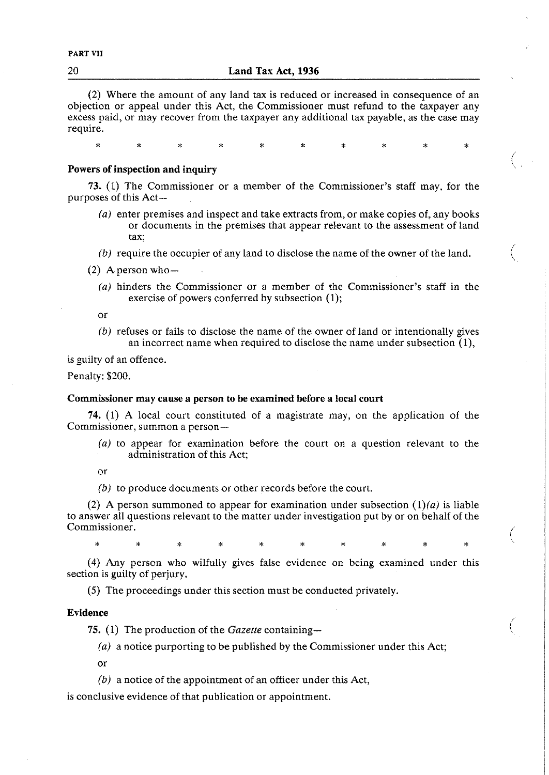#### *20* Land Tax Act, **1936**

*(2)* Where the amount of any land tax is reduced or increased in consequence of an objection or appeal under this Act, the Commissioner must refund to the taxpayer any excess paid, or may recover from the taxpayer any additional tax payable, as the case may require.

#### Powers of inspection and inquiry

**73.** *(1)* The Commissioner or a member of the Commissioner's staff may, for the purposes of this Act-

- *(a)* enter premises and inspect and take extracts from, or make copies of, any books or documents in the premises that appear relevant to the assessment of land tax;
- (b) require the occupier of any land to disclose the name of the owner of the land.
- $(2)$  A person who-
	- (a) hinders the Commissioner or a member of the Commissioner's staff in the exercise of powers conferred by subsection (1);

or

*(6)* refuses or fails to disclose the name of the owner of land or intentionally gives an incorrect name when required to disclose the name under subsection *(I),* 

is guilty of an offence.

Penalty: *\$200.* 

#### Commissioner may cause a person to be examined before a local court

*74. (1)* A local court constituted of a magistrate may, on the application of the Commissioner, summon a person-

*(a)* to appear for examination before the court on a question relevant to the administration of this Act;

or

*(b)* to produce documents or other records before the court.

*(2)* A person summoned to appear for examination under subsection *(l)(a)* is liable to answer all questions relevant to the matter under investigation put by or on behalf of the Commissioner.

 $\ast$ 

(4) Any person who wilfully gives false evidence on being examined under this section is guilty of perjury.

(5) The proceedings under this section must be conducted privately.

#### Evidence

*75. (1)* The production of the *Gazette* containing-

*(a)* a notice purporting to be published by the Commissioner under this Act;

or

*(6)* a notice of the appointment of an officer under this Act,

is conclusive evidence of that publication or appointment.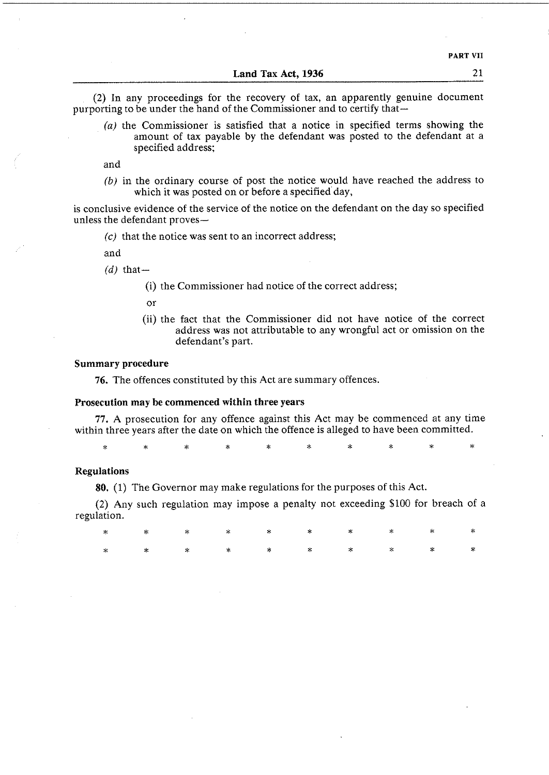**Land Tax Act, 1936** 21

(2) In any proceedings for the recovery of tax, an apparently genuine document purporting to be under the hand of the Commissioner and to certify that-

(a) the Commissioner is satisfied that a notice in specified terms showing the amount of tax payable by the defendant was posted to the defendant at a specified address;

and

(b) in the ordinary course of post the notice would have reached the address to which it was posted on or before a specified day,

is conclusive evidence of the service of the notice on the defendant on the day so specified unless the defendant proves-

 $(c)$  that the notice was sent to an incorrect address;

and

 $(d)$  that-

(i) the Commissioner had notice of the correct address;

or

(ii) the fact that the Commissioner did not have notice of the correct address was not attributable to any wrongful act or omission on the defendant's part.

#### **Summary procedure**

**76.** The offences constituted by this Act are summary offences.

#### **Prosecution may be commenced within three years**

**77.** A prosecution for any offence against this Act may be commenced at any time within three years after the date on which the offence is alleged to have been committed.

\* \* \* \* \* \* \* \* \* \*

#### **Regulations**

**80.** (1) The Governor may make regulations for the purposes of this Act.

(2) Any such regulation may impose a penalty not exceeding \$100 for breach of a regulation.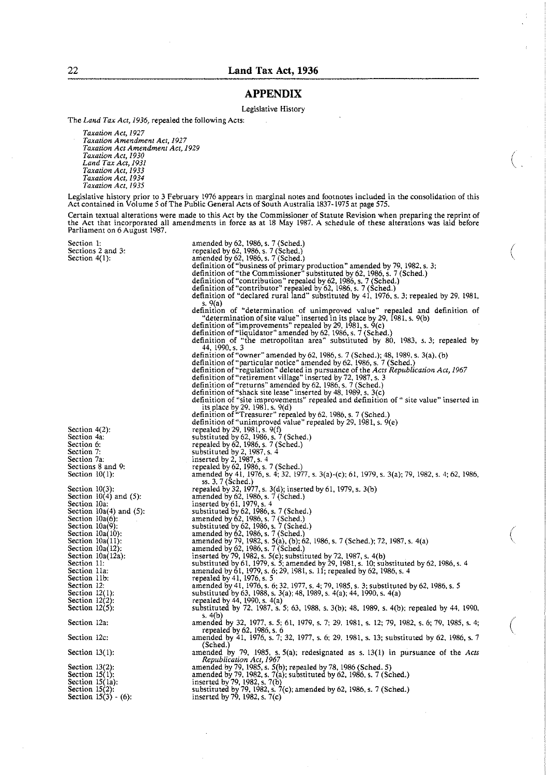# **APPENDIX**

#### Legislative History

 $\bar{z}$ 

The **Land Tax Act,** *1936,* repealed the following Acts:

**Taxation Act,** *I927*  **Taxation Amendment Act,** *1927*  **Taxation Act Amendment Act.** *I929*  **Taxation Act,** *1930*  **Land Tax Act,** *1931*  **Taxation Act,** *1933*  **Tatation Act.** *1934*  **Taxation Act,** *1933* 

Legislative history prior to 3 February 1976 appears in marginal notes and footnotes included in the consolidation of this Act contained in Volume 5 of The Public General Acts of South Australia 1837-1975 at page 575.

Certain textual alterations were made to this Act by the Commissioner of Statute Revision when preparing the reprint of the Act that incorporated all amendments in force as at 18 May 1987. A schedule of these alterations was laid before Parliament on 6 August 1987.

| Section 1:<br>Sections 2 and 3:<br>Section $4(1)$ : | amended by 62, 1986, s. 7 (Sched.)<br>repealed by 62, 1986, s. 7 (Sched.)<br>amended by 62, 1986, s. 7 (Sched.)<br>definition of "business of primary production" amended by 79, 1982, s. 3;<br>definition of "the Commissioner" substituted by 62, 1986, s. 7 (Sched.)<br>definition of "contribution" repealed by 62, 1986, s. 7 (Sched.)<br>definition of "contributor" repealed by 62, 1986, s. 7 (Sched.)<br>definition of "declared rural land" substituted by 41, 1976, s. 3; repealed by 29, 1981,<br>s. $9(a)$<br>definition of "determination of unimproved value" repealed and definition of<br>"determination of site value" inserted in its place by 29, 1981, s. 9(b)<br>definition of "improvements" repealed by 29, 1981, s. $9(c)$<br>definition of "liquidator" amended by 62, 1986, s. 7 (Sched.)<br>definition of "the metropolitan area" substituted by 80, 1983, s. 3; repealed by<br>44, 1990, s. 3<br>definition of "owner" amended by $62$ , 1986, s. 7 (Sched.); 48, 1989, s. 3(a), (b)<br>definition of "particular notice" amended by 62, 1986, s. 7 (Sched.)<br>definition of "regulation" deleted in pursuance of the Acts Republication Act, 1967<br>definition of "retirement village" inserted by 72, 1987, s. 3<br>definition of "returns" amended by 62, 1986, s. 7 (Sched.)<br>definition of "shack site lease" inserted by $48$ , $1989$ , s. $3(c)$<br>definition of "site improvements" repealed and definition of " site value" inserted in<br>its place by 29, 1981, s. 9(d)<br>definition of "Treasurer" repealed by 62, 1986, s. 7 (Sched.)<br>definition of "unimproved value" repealed by 29, 1981, s. $9(e)$ |
|-----------------------------------------------------|------------------------------------------------------------------------------------------------------------------------------------------------------------------------------------------------------------------------------------------------------------------------------------------------------------------------------------------------------------------------------------------------------------------------------------------------------------------------------------------------------------------------------------------------------------------------------------------------------------------------------------------------------------------------------------------------------------------------------------------------------------------------------------------------------------------------------------------------------------------------------------------------------------------------------------------------------------------------------------------------------------------------------------------------------------------------------------------------------------------------------------------------------------------------------------------------------------------------------------------------------------------------------------------------------------------------------------------------------------------------------------------------------------------------------------------------------------------------------------------------------------------------------------------------------------------------------------------------------------------------------------------------------------|
| Section $4(2)$ :                                    |                                                                                                                                                                                                                                                                                                                                                                                                                                                                                                                                                                                                                                                                                                                                                                                                                                                                                                                                                                                                                                                                                                                                                                                                                                                                                                                                                                                                                                                                                                                                                                                                                                                            |
| Section 4a:                                         | repealed by 29, 1981, s. $9(f)$<br>substituted by 62, 1986, s. 7 (Sched.)                                                                                                                                                                                                                                                                                                                                                                                                                                                                                                                                                                                                                                                                                                                                                                                                                                                                                                                                                                                                                                                                                                                                                                                                                                                                                                                                                                                                                                                                                                                                                                                  |
| Section 6:                                          | repealed by 62, 1986, s. 7 (Sched.)                                                                                                                                                                                                                                                                                                                                                                                                                                                                                                                                                                                                                                                                                                                                                                                                                                                                                                                                                                                                                                                                                                                                                                                                                                                                                                                                                                                                                                                                                                                                                                                                                        |
| Section 7:                                          | substituted by $2, 1987, s. 4$                                                                                                                                                                                                                                                                                                                                                                                                                                                                                                                                                                                                                                                                                                                                                                                                                                                                                                                                                                                                                                                                                                                                                                                                                                                                                                                                                                                                                                                                                                                                                                                                                             |
| Section 7a:                                         | inserted by 2, 1987, s. 4                                                                                                                                                                                                                                                                                                                                                                                                                                                                                                                                                                                                                                                                                                                                                                                                                                                                                                                                                                                                                                                                                                                                                                                                                                                                                                                                                                                                                                                                                                                                                                                                                                  |
| Sections 8 and 9:                                   | repealed by 62, 1986, s. 7 (Sched.)                                                                                                                                                                                                                                                                                                                                                                                                                                                                                                                                                                                                                                                                                                                                                                                                                                                                                                                                                                                                                                                                                                                                                                                                                                                                                                                                                                                                                                                                                                                                                                                                                        |
| Section $10(1)$ :                                   | amended by 41, 1976, s. 4; 32, 1977, s. 3(a)-(c); 61, 1979, s. 3(a); 79, 1982, s. 4; 62, 1986,                                                                                                                                                                                                                                                                                                                                                                                                                                                                                                                                                                                                                                                                                                                                                                                                                                                                                                                                                                                                                                                                                                                                                                                                                                                                                                                                                                                                                                                                                                                                                             |
|                                                     | ss. 3, 7 (Sched.)                                                                                                                                                                                                                                                                                                                                                                                                                                                                                                                                                                                                                                                                                                                                                                                                                                                                                                                                                                                                                                                                                                                                                                                                                                                                                                                                                                                                                                                                                                                                                                                                                                          |
| Section $10(3)$ :<br>Section $10(4)$ and $(5)$ :    | repealed by 32, 1977, s. 3(d); inserted by 61, 1979, s. 3(b)                                                                                                                                                                                                                                                                                                                                                                                                                                                                                                                                                                                                                                                                                                                                                                                                                                                                                                                                                                                                                                                                                                                                                                                                                                                                                                                                                                                                                                                                                                                                                                                               |
| Section 10a:                                        | amended by 62, 1986, s. 7 (Sched.)<br>inserted by $61, 1979, s. 4$                                                                                                                                                                                                                                                                                                                                                                                                                                                                                                                                                                                                                                                                                                                                                                                                                                                                                                                                                                                                                                                                                                                                                                                                                                                                                                                                                                                                                                                                                                                                                                                         |
| Section $10a(4)$ and $(5)$ :                        | substituted by $62$ , 1986, s. $7$ (Sched.)                                                                                                                                                                                                                                                                                                                                                                                                                                                                                                                                                                                                                                                                                                                                                                                                                                                                                                                                                                                                                                                                                                                                                                                                                                                                                                                                                                                                                                                                                                                                                                                                                |
| Section 10a(6).                                     | amended by 62, 1986, s. 7 (Sched.)                                                                                                                                                                                                                                                                                                                                                                                                                                                                                                                                                                                                                                                                                                                                                                                                                                                                                                                                                                                                                                                                                                                                                                                                                                                                                                                                                                                                                                                                                                                                                                                                                         |
| Section 10a(9):                                     | substituted by $62$ , 1986, s. 7 (Sched.)                                                                                                                                                                                                                                                                                                                                                                                                                                                                                                                                                                                                                                                                                                                                                                                                                                                                                                                                                                                                                                                                                                                                                                                                                                                                                                                                                                                                                                                                                                                                                                                                                  |
| Section $10a(10)$ :                                 | amended by 62, 1986, s. 7 (Sched.)                                                                                                                                                                                                                                                                                                                                                                                                                                                                                                                                                                                                                                                                                                                                                                                                                                                                                                                                                                                                                                                                                                                                                                                                                                                                                                                                                                                                                                                                                                                                                                                                                         |
| Section 10a(11):                                    | amended by 79, 1982, s. 5(a), (b); 62, 1986, s. 7 (Sched.); 72, 1987, s. 4(a)                                                                                                                                                                                                                                                                                                                                                                                                                                                                                                                                                                                                                                                                                                                                                                                                                                                                                                                                                                                                                                                                                                                                                                                                                                                                                                                                                                                                                                                                                                                                                                              |
| Section 10a(12):                                    | amended by 62, 1986, s. 7 (Sched.)                                                                                                                                                                                                                                                                                                                                                                                                                                                                                                                                                                                                                                                                                                                                                                                                                                                                                                                                                                                                                                                                                                                                                                                                                                                                                                                                                                                                                                                                                                                                                                                                                         |
| Section 10a(12a):                                   | inserted by 79, 1982, s. $5(c)$ ; substituted by 72, 1987, s. $4(b)$                                                                                                                                                                                                                                                                                                                                                                                                                                                                                                                                                                                                                                                                                                                                                                                                                                                                                                                                                                                                                                                                                                                                                                                                                                                                                                                                                                                                                                                                                                                                                                                       |
| Section 11:                                         | substituted by 61, 1979, s. 5; amended by 29, 1981, s. 10; substituted by 62, 1986, s. 4                                                                                                                                                                                                                                                                                                                                                                                                                                                                                                                                                                                                                                                                                                                                                                                                                                                                                                                                                                                                                                                                                                                                                                                                                                                                                                                                                                                                                                                                                                                                                                   |
| Section 11a:                                        | amended by 61, 1979, s. 6; 29, 1981, s. 11; repealed by 62, 1986, s. 4                                                                                                                                                                                                                                                                                                                                                                                                                                                                                                                                                                                                                                                                                                                                                                                                                                                                                                                                                                                                                                                                                                                                                                                                                                                                                                                                                                                                                                                                                                                                                                                     |
| Section 11b:                                        | repealed by 41, 1976, s. 5                                                                                                                                                                                                                                                                                                                                                                                                                                                                                                                                                                                                                                                                                                                                                                                                                                                                                                                                                                                                                                                                                                                                                                                                                                                                                                                                                                                                                                                                                                                                                                                                                                 |
| Section 12:                                         | amended by 41, 1976, s. 6; 32, 1977, s. 4; 79, 1985, s. 3; substituted by 62, 1986, s. 5                                                                                                                                                                                                                                                                                                                                                                                                                                                                                                                                                                                                                                                                                                                                                                                                                                                                                                                                                                                                                                                                                                                                                                                                                                                                                                                                                                                                                                                                                                                                                                   |
| Section $12(1)$ :                                   | substituted by 63, 1988, s. 3(a); 48, 1989, s. 4(a); 44, 1990, s. 4(a)                                                                                                                                                                                                                                                                                                                                                                                                                                                                                                                                                                                                                                                                                                                                                                                                                                                                                                                                                                                                                                                                                                                                                                                                                                                                                                                                                                                                                                                                                                                                                                                     |
| Section $12(2)$ :                                   | repealed by 44, 1990, s. $4(a)$                                                                                                                                                                                                                                                                                                                                                                                                                                                                                                                                                                                                                                                                                                                                                                                                                                                                                                                                                                                                                                                                                                                                                                                                                                                                                                                                                                                                                                                                                                                                                                                                                            |
| Section $12(5)$ :                                   | substituted by 72, 1987, s. 5; 63, 1988, s. 3(b); 48, 1989, s. 4(b); repealed by 44, 1990,<br>s. $4(b)$                                                                                                                                                                                                                                                                                                                                                                                                                                                                                                                                                                                                                                                                                                                                                                                                                                                                                                                                                                                                                                                                                                                                                                                                                                                                                                                                                                                                                                                                                                                                                    |
| Section 12a:                                        | amended by 32, 1977, s. 5; 61, 1979, s. 7; 29, 1981, s. 12; 79, 1982, s. 6; 79, 1985, s. 4;<br>repealed by 62, 1986, s. 6                                                                                                                                                                                                                                                                                                                                                                                                                                                                                                                                                                                                                                                                                                                                                                                                                                                                                                                                                                                                                                                                                                                                                                                                                                                                                                                                                                                                                                                                                                                                  |
| Section 12c:                                        | amended by 41, 1976, s. 7; 32, 1977, s. 6; 29, 1981, s. 13; substituted by 62, 1986, s. 7<br>(Sched.)                                                                                                                                                                                                                                                                                                                                                                                                                                                                                                                                                                                                                                                                                                                                                                                                                                                                                                                                                                                                                                                                                                                                                                                                                                                                                                                                                                                                                                                                                                                                                      |
| Section $13(1)$ :                                   | amended by 79, 1985, s. $5(a)$ ; redesignated as s. 13(1) in pursuance of the Acts<br>Republication Act, 1967                                                                                                                                                                                                                                                                                                                                                                                                                                                                                                                                                                                                                                                                                                                                                                                                                                                                                                                                                                                                                                                                                                                                                                                                                                                                                                                                                                                                                                                                                                                                              |
| Section 13(2):                                      | amended by 79, 1985, s. 5(b); repealed by 78, 1986 (Sched. 5)                                                                                                                                                                                                                                                                                                                                                                                                                                                                                                                                                                                                                                                                                                                                                                                                                                                                                                                                                                                                                                                                                                                                                                                                                                                                                                                                                                                                                                                                                                                                                                                              |
| Section $15(1)$ :                                   | amended by 79, 1982, s. 7(a); substituted by 62, 1986, s. 7 (Sched.)                                                                                                                                                                                                                                                                                                                                                                                                                                                                                                                                                                                                                                                                                                                                                                                                                                                                                                                                                                                                                                                                                                                                                                                                                                                                                                                                                                                                                                                                                                                                                                                       |
| Section $15(1a)$ :                                  | inserted by 79, 1982, s. 7(b)                                                                                                                                                                                                                                                                                                                                                                                                                                                                                                                                                                                                                                                                                                                                                                                                                                                                                                                                                                                                                                                                                                                                                                                                                                                                                                                                                                                                                                                                                                                                                                                                                              |
| Section $15(2)$ :                                   | substituted by 79, 1982, s. 7(c); amended by 62, 1986, s. 7 (Sched.)                                                                                                                                                                                                                                                                                                                                                                                                                                                                                                                                                                                                                                                                                                                                                                                                                                                                                                                                                                                                                                                                                                                                                                                                                                                                                                                                                                                                                                                                                                                                                                                       |
| Section $15(3) - (6)$ :                             | inserted by 79, 1982, s. $7(c)$                                                                                                                                                                                                                                                                                                                                                                                                                                                                                                                                                                                                                                                                                                                                                                                                                                                                                                                                                                                                                                                                                                                                                                                                                                                                                                                                                                                                                                                                                                                                                                                                                            |
|                                                     |                                                                                                                                                                                                                                                                                                                                                                                                                                                                                                                                                                                                                                                                                                                                                                                                                                                                                                                                                                                                                                                                                                                                                                                                                                                                                                                                                                                                                                                                                                                                                                                                                                                            |